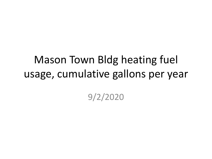## Mason Town Bldg heating fuel usage, cumulative gallons per year

9/2/2020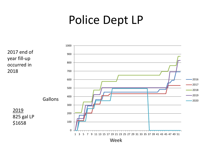## Police Dept LP

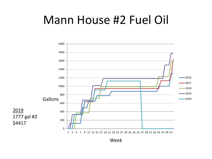#### Mann House #2 Fuel Oil



Week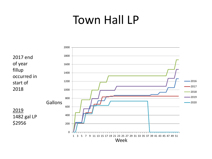### Town Hall LP

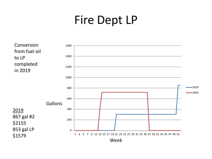# Fire Dept LP

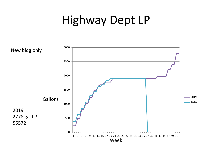# Highway Dept LP

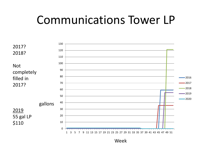#### Communications Tower LP



Week